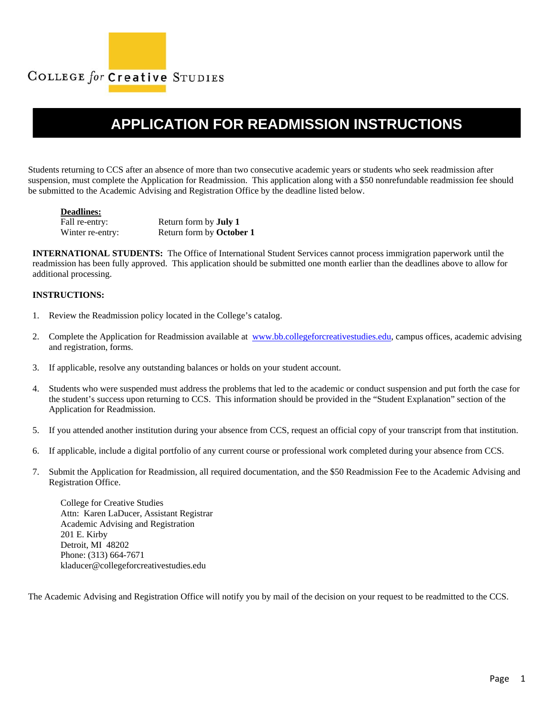## **APPLICATION FOR READMISSION INSTRUCTIONS**

Students returning to CCS after an absence of more than two consecutive academic years or students who seek readmission after suspension, must complete the Application for Readmission. This application along with a \$50 nonrefundable readmission fee should be submitted to the Academic Advising and Registration Office by the deadline listed below.

### **Deadlines:**

Fall re-entry: Return form by **July 1** Winter re-entry: Return form by October 1

**INTERNATIONAL STUDENTS:** The Office of International Student Services cannot process immigration paperwork until the readmission has been fully approved. This application should be submitted one month earlier than the deadlines above to allow for additional processing.

#### **INSTRUCTIONS:**

- 1. Review the Readmission policy located in the College's catalog.
- 2. Complete the Application for Readmission available at www.bb.collegeforcreativestudies.edu, campus offices, academic advising and registration, forms.
- 3. If applicable, resolve any outstanding balances or holds on your student account.
- 4. Students who were suspended must address the problems that led to the academic or conduct suspension and put forth the case for the student's success upon returning to CCS. This information should be provided in the "Student Explanation" section of the Application for Readmission.
- 5. If you attended another institution during your absence from CCS, request an official copy of your transcript from that institution.
- 6. If applicable, include a digital portfolio of any current course or professional work completed during your absence from CCS.
- 7. Submit the Application for Readmission, all required documentation, and the \$50 Readmission Fee to the Academic Advising and Registration Office.

College for Creative Studies Attn: Karen LaDucer, Assistant Registrar Academic Advising and Registration 201 E. Kirby Detroit, MI 48202 Phone: (313) 664-7671 kladucer@collegeforcreativestudies.edu

The Academic Advising and Registration Office will notify you by mail of the decision on your request to be readmitted to the CCS.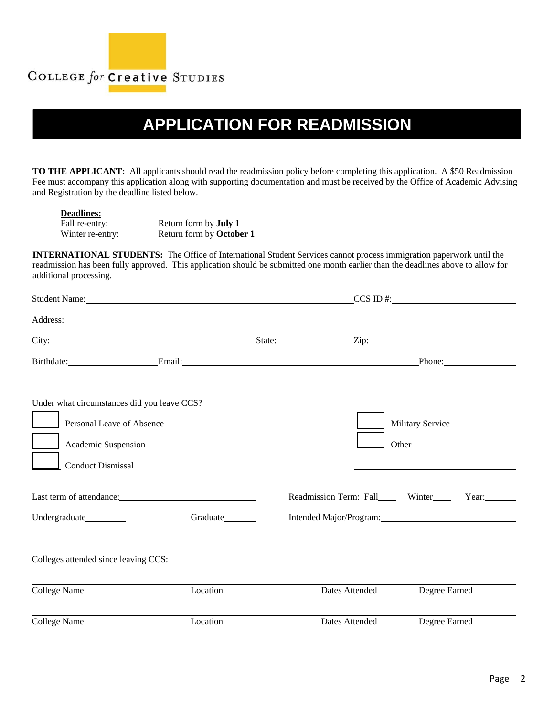

# **APPLICATION FOR READMISSION**

**TO THE APPLICANT:** All applicants should read the readmission policy before completing this application. A \$50 Readmission Fee must accompany this application along with supporting documentation and must be received by the Office of Academic Advising and Registration by the deadline listed below.

#### **Deadlines:**

Fall re-entry: Return form by **July 1** Winter re-entry: Return form by October 1

**INTERNATIONAL STUDENTS:** The Office of International Student Services cannot process immigration paperwork until the readmission has been fully approved. This application should be submitted one month earlier than the deadlines above to allow for additional processing.

|                                                                                                                             | Student Name: No. 2014                                                                                                                                                                                                         |                | $CCS ID \#$ :                                                                                                                                                                                                                       |
|-----------------------------------------------------------------------------------------------------------------------------|--------------------------------------------------------------------------------------------------------------------------------------------------------------------------------------------------------------------------------|----------------|-------------------------------------------------------------------------------------------------------------------------------------------------------------------------------------------------------------------------------------|
|                                                                                                                             | Address: No. 2016. The contract of the contract of the contract of the contract of the contract of the contract of the contract of the contract of the contract of the contract of the contract of the contract of the contrac |                |                                                                                                                                                                                                                                     |
|                                                                                                                             |                                                                                                                                                                                                                                |                | City: <u>City:</u> City: City: City: City: City: City: City: City: City: City: City: City: City: City: City: City: City: City: City: City: City: City: City: City: City: City: City: City: City: City: City: City: City: City: City |
|                                                                                                                             |                                                                                                                                                                                                                                |                | Birthdate: Email: Email: Email: Phone: Phone:                                                                                                                                                                                       |
| Under what circumstances did you leave CCS?<br>Personal Leave of Absence<br>Academic Suspension<br><b>Conduct Dismissal</b> |                                                                                                                                                                                                                                |                | <b>Military Service</b><br>Other                                                                                                                                                                                                    |
|                                                                                                                             | Last term of attendance:                                                                                                                                                                                                       |                | Readmission Term: Fall Winter Year:                                                                                                                                                                                                 |
| Undergraduate__________                                                                                                     | Graduate_________                                                                                                                                                                                                              |                |                                                                                                                                                                                                                                     |
| Colleges attended since leaving CCS:                                                                                        |                                                                                                                                                                                                                                |                |                                                                                                                                                                                                                                     |
| College Name                                                                                                                | Location                                                                                                                                                                                                                       | Dates Attended | Degree Earned                                                                                                                                                                                                                       |
| College Name                                                                                                                | Location                                                                                                                                                                                                                       | Dates Attended | Degree Earned                                                                                                                                                                                                                       |